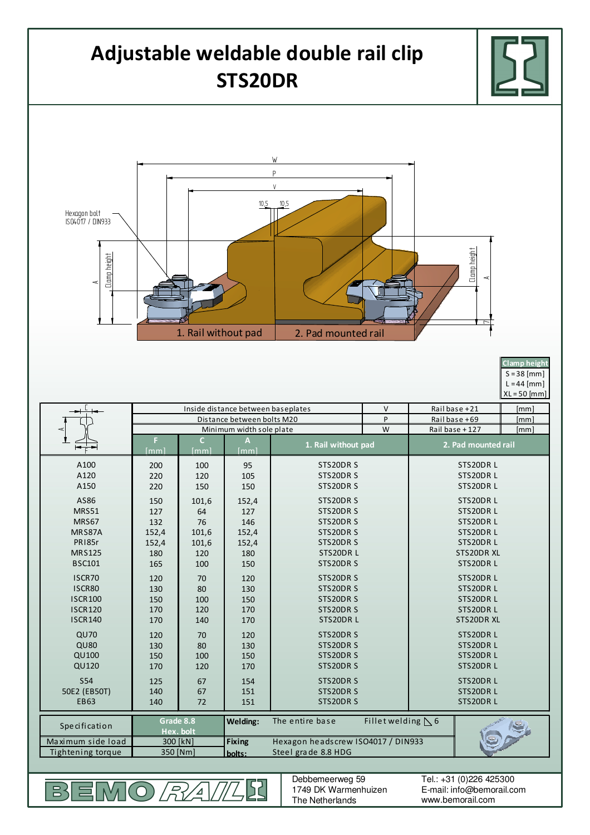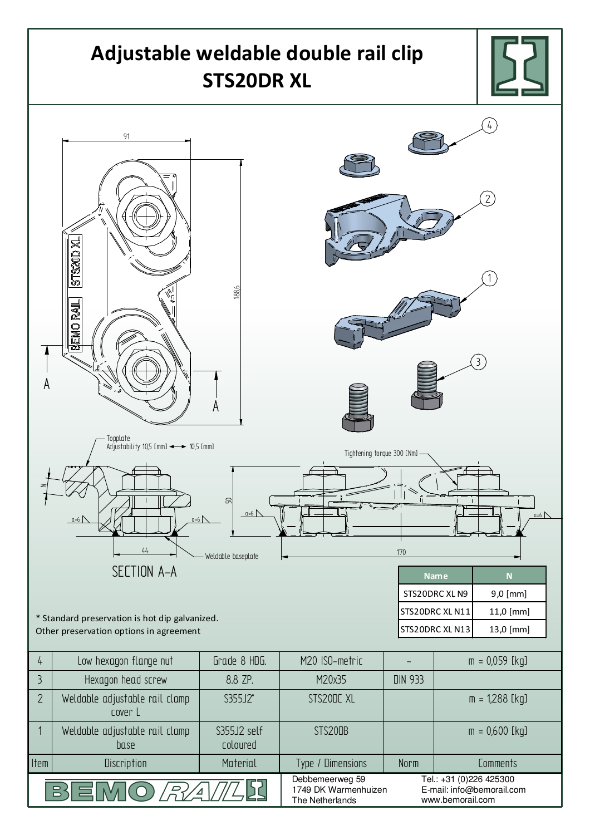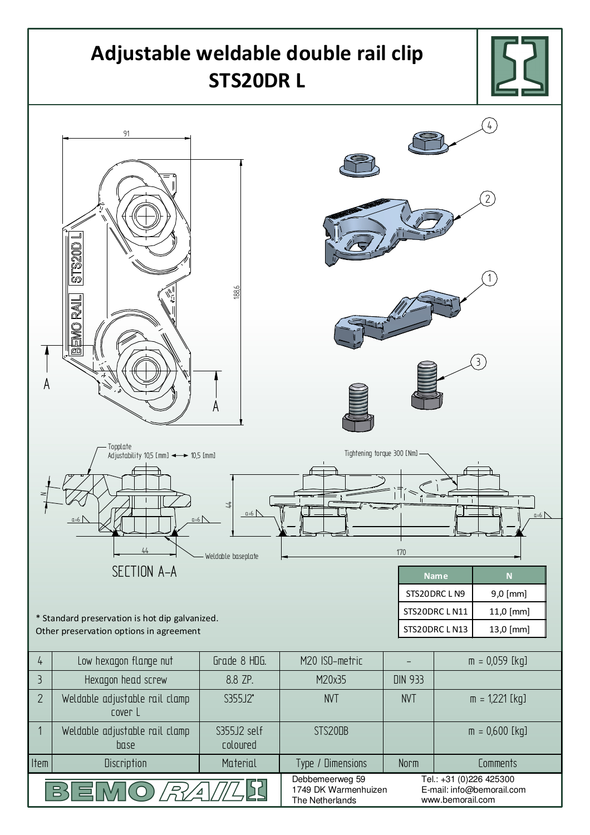